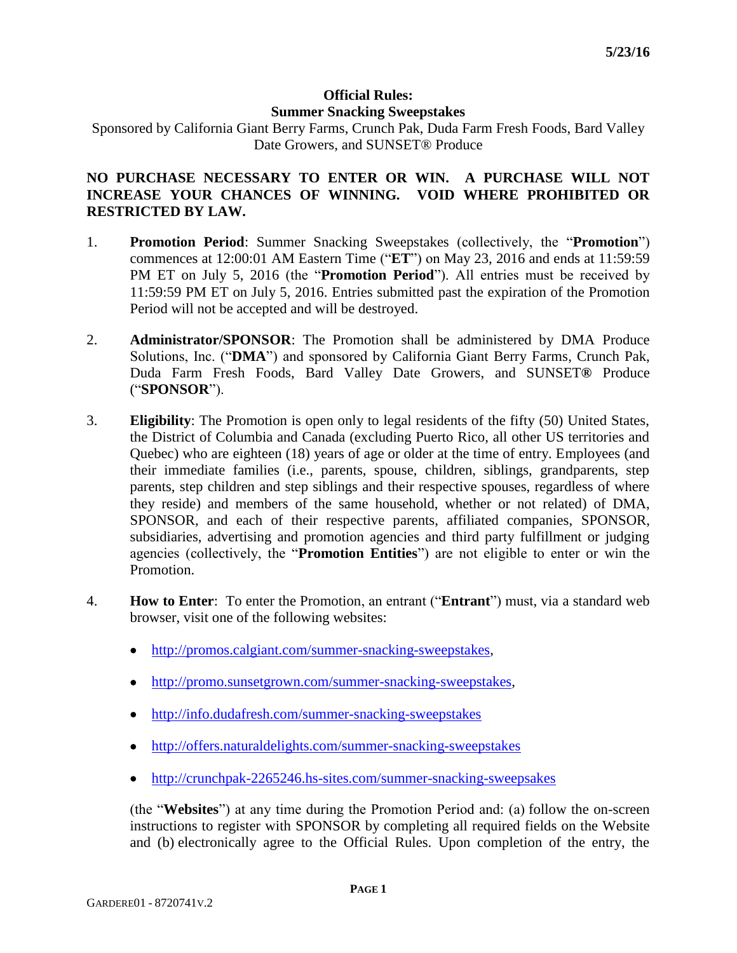## **Official Rules: Summer Snacking Sweepstakes**

Sponsored by California Giant Berry Farms, Crunch Pak, Duda Farm Fresh Foods, Bard Valley Date Growers, and SUNSET® Produce

## **NO PURCHASE NECESSARY TO ENTER OR WIN. A PURCHASE WILL NOT INCREASE YOUR CHANCES OF WINNING. VOID WHERE PROHIBITED OR RESTRICTED BY LAW.**

- 1. **Promotion Period**: Summer Snacking Sweepstakes (collectively, the "**Promotion**") commences at 12:00:01 AM Eastern Time ("**ET**") on May 23, 2016 and ends at 11:59:59 PM ET on July 5, 2016 (the "**Promotion Period**"). All entries must be received by 11:59:59 PM ET on July 5, 2016. Entries submitted past the expiration of the Promotion Period will not be accepted and will be destroyed.
- 2. **Administrator/SPONSOR**: The Promotion shall be administered by DMA Produce Solutions, Inc. ("**DMA**") and sponsored by California Giant Berry Farms, Crunch Pak, Duda Farm Fresh Foods, Bard Valley Date Growers, and SUNSET**®** Produce ("**SPONSOR**").
- 3. **Eligibility**: The Promotion is open only to legal residents of the fifty (50) United States, the District of Columbia and Canada (excluding Puerto Rico, all other US territories and Quebec) who are eighteen (18) years of age or older at the time of entry. Employees (and their immediate families (i.e., parents, spouse, children, siblings, grandparents, step parents, step children and step siblings and their respective spouses, regardless of where they reside) and members of the same household, whether or not related) of DMA, SPONSOR, and each of their respective parents, affiliated companies, SPONSOR, subsidiaries, advertising and promotion agencies and third party fulfillment or judging agencies (collectively, the "**Promotion Entities**") are not eligible to enter or win the Promotion.
- 4. **How to Enter**: To enter the Promotion, an entrant ("**Entrant**") must, via a standard web browser, visit one of the following websites:
	- [http://promos.calgiant.com/summer-snacking-sweepstakes,](http://promos.calgiant.com/summer-snacking-sweepstakes)
	- [http://promo.sunsetgrown.com/summer-snacking-sweepstakes,](http://promo.sunsetgrown.com/summer-snacking-sweepstakes)
	- <http://info.dudafresh.com/summer-snacking-sweepstakes>
	- <http://offers.naturaldelights.com/summer-snacking-sweepstakes>
	- <http://crunchpak-2265246.hs-sites.com/summer-snacking-sweepsakes>

(the "**Websites**") at any time during the Promotion Period and: (a) follow the on-screen instructions to register with SPONSOR by completing all required fields on the Website and (b) electronically agree to the Official Rules. Upon completion of the entry, the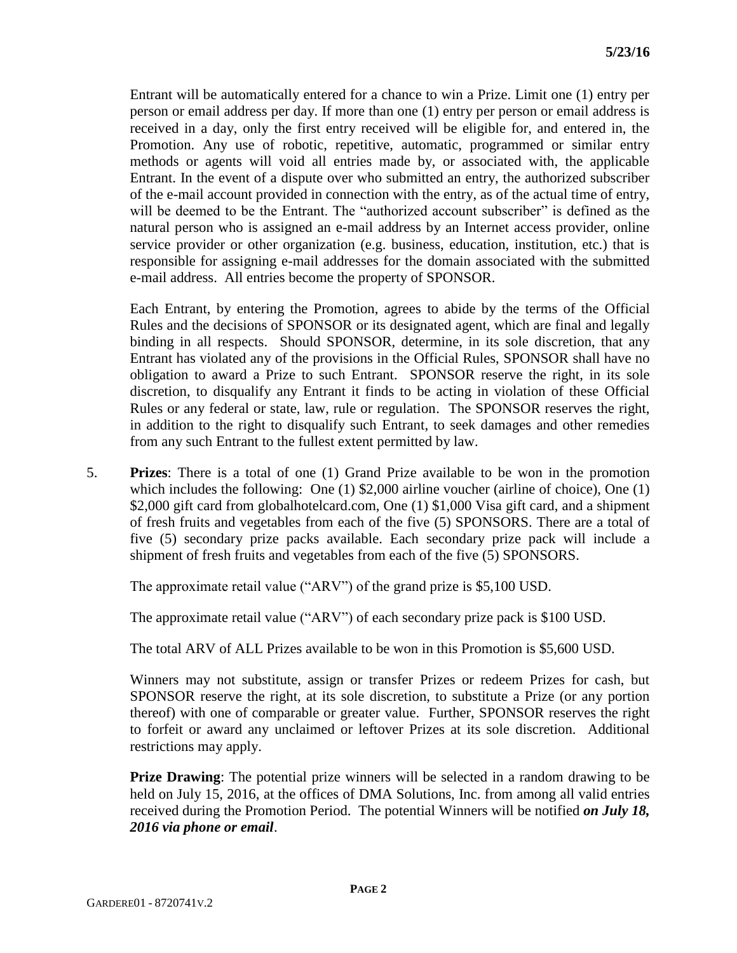Entrant will be automatically entered for a chance to win a Prize. Limit one (1) entry per person or email address per day. If more than one (1) entry per person or email address is received in a day, only the first entry received will be eligible for, and entered in, the Promotion. Any use of robotic, repetitive, automatic, programmed or similar entry methods or agents will void all entries made by, or associated with, the applicable Entrant. In the event of a dispute over who submitted an entry, the authorized subscriber of the e-mail account provided in connection with the entry, as of the actual time of entry, will be deemed to be the Entrant. The "authorized account subscriber" is defined as the natural person who is assigned an e-mail address by an Internet access provider, online service provider or other organization (e.g. business, education, institution, etc.) that is responsible for assigning e-mail addresses for the domain associated with the submitted e-mail address. All entries become the property of SPONSOR.

Each Entrant, by entering the Promotion, agrees to abide by the terms of the Official Rules and the decisions of SPONSOR or its designated agent, which are final and legally binding in all respects. Should SPONSOR, determine, in its sole discretion, that any Entrant has violated any of the provisions in the Official Rules, SPONSOR shall have no obligation to award a Prize to such Entrant. SPONSOR reserve the right, in its sole discretion, to disqualify any Entrant it finds to be acting in violation of these Official Rules or any federal or state, law, rule or regulation. The SPONSOR reserves the right, in addition to the right to disqualify such Entrant, to seek damages and other remedies from any such Entrant to the fullest extent permitted by law.

5. **Prizes**: There is a total of one (1) Grand Prize available to be won in the promotion which includes the following: One (1) \$2,000 airline voucher (airline of choice), One (1) \$2,000 gift card from globalhotelcard.com, One (1) \$1,000 Visa gift card, and a shipment of fresh fruits and vegetables from each of the five (5) SPONSORS. There are a total of five (5) secondary prize packs available. Each secondary prize pack will include a shipment of fresh fruits and vegetables from each of the five (5) SPONSORS.

The approximate retail value ("ARV") of the grand prize is \$5,100 USD.

The approximate retail value ("ARV") of each secondary prize pack is \$100 USD.

The total ARV of ALL Prizes available to be won in this Promotion is \$5,600 USD.

Winners may not substitute, assign or transfer Prizes or redeem Prizes for cash, but SPONSOR reserve the right, at its sole discretion, to substitute a Prize (or any portion thereof) with one of comparable or greater value. Further, SPONSOR reserves the right to forfeit or award any unclaimed or leftover Prizes at its sole discretion. Additional restrictions may apply.

**Prize Drawing**: The potential prize winners will be selected in a random drawing to be held on July 15, 2016, at the offices of DMA Solutions, Inc. from among all valid entries received during the Promotion Period. The potential Winners will be notified *on July 18, 2016 via phone or email*.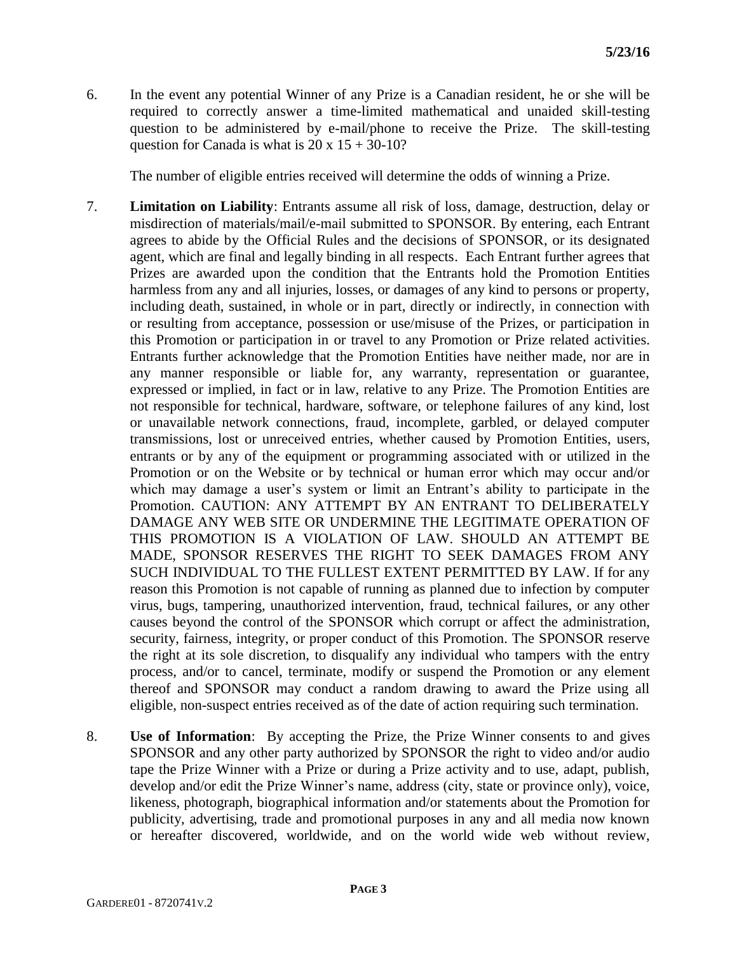6. In the event any potential Winner of any Prize is a Canadian resident, he or she will be required to correctly answer a time-limited mathematical and unaided skill-testing question to be administered by e-mail/phone to receive the Prize. The skill-testing question for Canada is what is  $20 \times 15 + 30 - 10$ ?

The number of eligible entries received will determine the odds of winning a Prize.

- 7. **Limitation on Liability**: Entrants assume all risk of loss, damage, destruction, delay or misdirection of materials/mail/e-mail submitted to SPONSOR. By entering, each Entrant agrees to abide by the Official Rules and the decisions of SPONSOR, or its designated agent, which are final and legally binding in all respects. Each Entrant further agrees that Prizes are awarded upon the condition that the Entrants hold the Promotion Entities harmless from any and all injuries, losses, or damages of any kind to persons or property, including death, sustained, in whole or in part, directly or indirectly, in connection with or resulting from acceptance, possession or use/misuse of the Prizes, or participation in this Promotion or participation in or travel to any Promotion or Prize related activities. Entrants further acknowledge that the Promotion Entities have neither made, nor are in any manner responsible or liable for, any warranty, representation or guarantee, expressed or implied, in fact or in law, relative to any Prize. The Promotion Entities are not responsible for technical, hardware, software, or telephone failures of any kind, lost or unavailable network connections, fraud, incomplete, garbled, or delayed computer transmissions, lost or unreceived entries, whether caused by Promotion Entities, users, entrants or by any of the equipment or programming associated with or utilized in the Promotion or on the Website or by technical or human error which may occur and/or which may damage a user's system or limit an Entrant's ability to participate in the Promotion. CAUTION: ANY ATTEMPT BY AN ENTRANT TO DELIBERATELY DAMAGE ANY WEB SITE OR UNDERMINE THE LEGITIMATE OPERATION OF THIS PROMOTION IS A VIOLATION OF LAW. SHOULD AN ATTEMPT BE MADE, SPONSOR RESERVES THE RIGHT TO SEEK DAMAGES FROM ANY SUCH INDIVIDUAL TO THE FULLEST EXTENT PERMITTED BY LAW. If for any reason this Promotion is not capable of running as planned due to infection by computer virus, bugs, tampering, unauthorized intervention, fraud, technical failures, or any other causes beyond the control of the SPONSOR which corrupt or affect the administration, security, fairness, integrity, or proper conduct of this Promotion. The SPONSOR reserve the right at its sole discretion, to disqualify any individual who tampers with the entry process, and/or to cancel, terminate, modify or suspend the Promotion or any element thereof and SPONSOR may conduct a random drawing to award the Prize using all eligible, non-suspect entries received as of the date of action requiring such termination.
- 8. **Use of Information**: By accepting the Prize, the Prize Winner consents to and gives SPONSOR and any other party authorized by SPONSOR the right to video and/or audio tape the Prize Winner with a Prize or during a Prize activity and to use, adapt, publish, develop and/or edit the Prize Winner's name, address (city, state or province only), voice, likeness, photograph, biographical information and/or statements about the Promotion for publicity, advertising, trade and promotional purposes in any and all media now known or hereafter discovered, worldwide, and on the world wide web without review,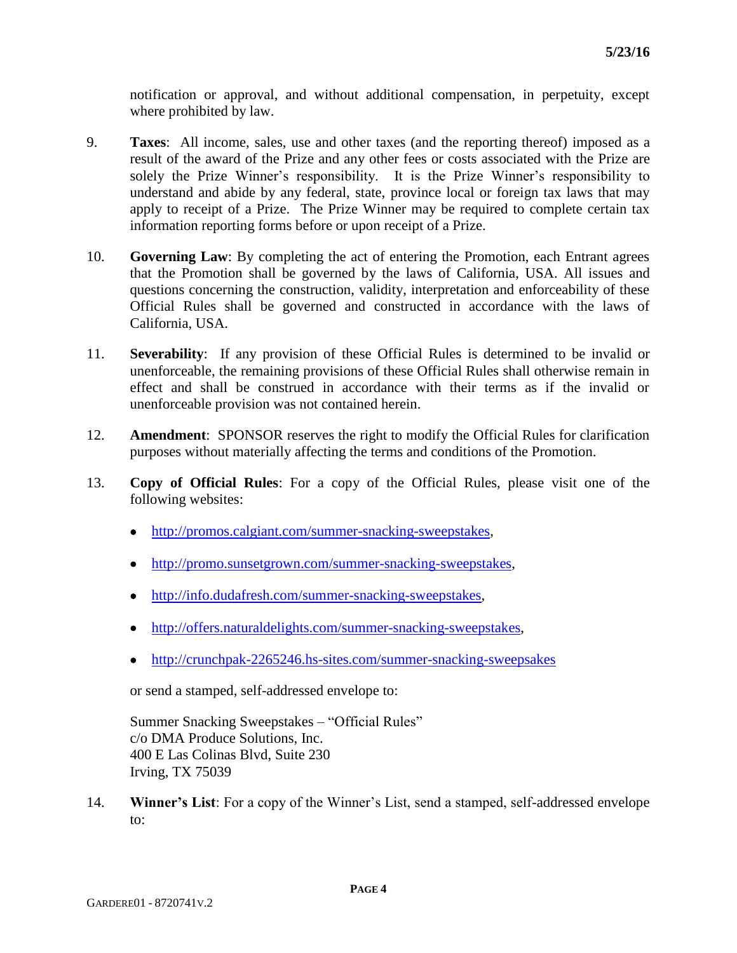notification or approval, and without additional compensation, in perpetuity, except where prohibited by law.

- 9. **Taxes**: All income, sales, use and other taxes (and the reporting thereof) imposed as a result of the award of the Prize and any other fees or costs associated with the Prize are solely the Prize Winner's responsibility. It is the Prize Winner's responsibility to understand and abide by any federal, state, province local or foreign tax laws that may apply to receipt of a Prize. The Prize Winner may be required to complete certain tax information reporting forms before or upon receipt of a Prize.
- 10. **Governing Law**: By completing the act of entering the Promotion, each Entrant agrees that the Promotion shall be governed by the laws of California, USA. All issues and questions concerning the construction, validity, interpretation and enforceability of these Official Rules shall be governed and constructed in accordance with the laws of California, USA.
- 11. **Severability**: If any provision of these Official Rules is determined to be invalid or unenforceable, the remaining provisions of these Official Rules shall otherwise remain in effect and shall be construed in accordance with their terms as if the invalid or unenforceable provision was not contained herein.
- 12. **Amendment**: SPONSOR reserves the right to modify the Official Rules for clarification purposes without materially affecting the terms and conditions of the Promotion.
- 13. **Copy of Official Rules**: For a copy of the Official Rules, please visit one of the following websites:
	- [http://promos.calgiant.com/summer-snacking-sweepstakes,](http://promos.calgiant.com/summer-snacking-sweepstakes)
	- [http://promo.sunsetgrown.com/summer-snacking-sweepstakes,](http://promo.sunsetgrown.com/summer-snacking-sweepstakes)
	- [http://info.dudafresh.com/summer-snacking-sweepstakes,](http://info.dudafresh.com/summer-snacking-sweepstakes)
	- [http://offers.naturaldelights.com/summer-snacking-sweepstakes,](http://offers.naturaldelights.com/summer-snacking-sweepstakes)
	- <http://crunchpak-2265246.hs-sites.com/summer-snacking-sweepsakes>

or send a stamped, self-addressed envelope to:

Summer Snacking Sweepstakes – "Official Rules" c/o DMA Produce Solutions, Inc. 400 E Las Colinas Blvd, Suite 230 Irving, TX 75039

14. **Winner's List**: For a copy of the Winner's List, send a stamped, self-addressed envelope to: